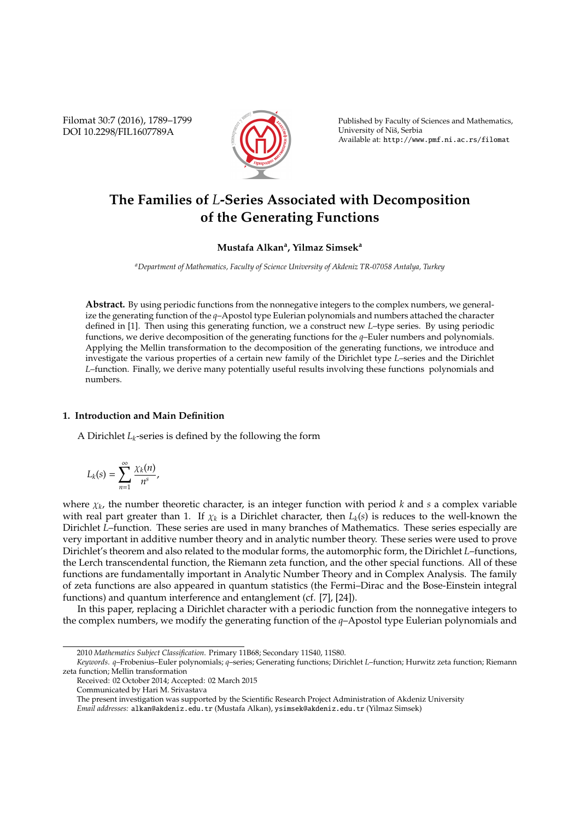Filomat 30:7 (2016), 1789–1799 DOI 10.2298/FIL1607789A



Published by Faculty of Sciences and Mathematics, University of Niš, Serbia Available at: http://www.pmf.ni.ac.rs/filomat

# **The Families of** *L***-Series Associated with Decomposition of the Generating Functions**

## **Mustafa Alkan<sup>a</sup> , Yilmaz Simsek<sup>a</sup>**

*<sup>a</sup>Department of Mathematics, Faculty of Science University of Akdeniz TR-07058 Antalya, Turkey*

**Abstract.** By using periodic functions from the nonnegative integers to the complex numbers, we generalize the generating function of the *q*–Apostol type Eulerian polynomials and numbers attached the character defined in [1]. Then using this generating function, we a construct new *L*–type series. By using periodic functions, we derive decomposition of the generating functions for the *q*–Euler numbers and polynomials. Applying the Mellin transformation to the decomposition of the generating functions, we introduce and investigate the various properties of a certain new family of the Dirichlet type *L*–series and the Dirichlet *L*–function. Finally, we derive many potentially useful results involving these functions polynomials and numbers.

#### **1. Introduction and Main Definition**

A Dirichlet *Lk*-series is defined by the following the form

$$
L_k(s) = \sum_{n=1}^{\infty} \frac{\chi_k(n)}{n^s},
$$

where χ*<sup>k</sup>* , the number theoretic character, is an integer function with period *k* and *s* a complex variable with real part greater than 1. If  $\chi_k$  is a Dirichlet character, then  $L_k(s)$  is reduces to the well-known the Dirichlet *L*–function. These series are used in many branches of Mathematics. These series especially are very important in additive number theory and in analytic number theory. These series were used to prove Dirichlet's theorem and also related to the modular forms, the automorphic form, the Dirichlet *L*–functions, the Lerch transcendental function, the Riemann zeta function, and the other special functions. All of these functions are fundamentally important in Analytic Number Theory and in Complex Analysis. The family of zeta functions are also appeared in quantum statistics (the Fermi–Dirac and the Bose-Einstein integral functions) and quantum interference and entanglement (cf. [7], [24]).

In this paper, replacing a Dirichlet character with a periodic function from the nonnegative integers to the complex numbers, we modify the generating function of the *q*–Apostol type Eulerian polynomials and

<sup>2010</sup> *Mathematics Subject Classification*. Primary 11B68; Secondary 11S40, 11S80.

*Keywords*. *q*–Frobenius–Euler polynomials; *q*–series; Generating functions; Dirichlet *L*–function; Hurwitz zeta function; Riemann zeta function; Mellin transformation

Received: 02 October 2014; Accepted: 02 March 2015

Communicated by Hari M. Srivastava

The present investigation was supported by the Scientific Research Project Administration of Akdeniz University

*Email addresses:* alkan@akdeniz.edu.tr (Mustafa Alkan), ysimsek@akdeniz.edu.tr (Yilmaz Simsek)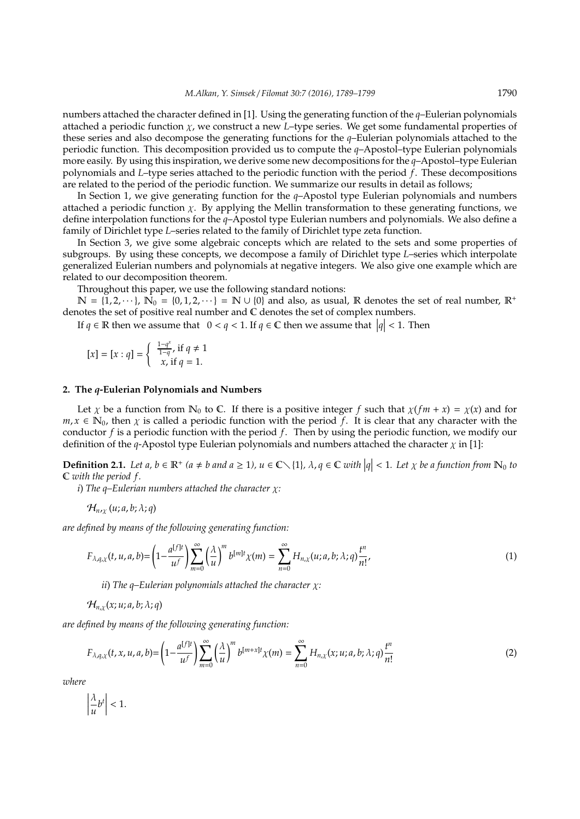numbers attached the character defined in [1]. Using the generating function of the *q*–Eulerian polynomials attached a periodic function χ, we construct a new *L*–type series. We get some fundamental properties of these series and also decompose the generating functions for the *q*–Eulerian polynomials attached to the periodic function. This decomposition provided us to compute the *q*–Apostol–type Eulerian polynomials more easily. By using this inspiration, we derive some new decompositions for the *q*–Apostol–type Eulerian polynomials and *L*–type series attached to the periodic function with the period *f*. These decompositions are related to the period of the periodic function. We summarize our results in detail as follows;

In Section 1, we give generating function for the *q*–Apostol type Eulerian polynomials and numbers attached a periodic function  $\chi$ . By applying the Mellin transformation to these generating functions, we define interpolation functions for the *q*–Apostol type Eulerian numbers and polynomials. We also define a family of Dirichlet type *L*–series related to the family of Dirichlet type zeta function.

In Section 3, we give some algebraic concepts which are related to the sets and some properties of subgroups. By using these concepts, we decompose a family of Dirichlet type *L*–series which interpolate generalized Eulerian numbers and polynomials at negative integers. We also give one example which are related to our decomposition theorem.

Throughout this paper, we use the following standard notions:

 $\mathbb{N} = \{1, 2, \dots\}$ ,  $\mathbb{N}_0 = \{0, 1, 2, \dots\} = \mathbb{N} \cup \{0\}$  and also, as usual, R denotes the set of real number,  $\mathbb{R}^+$ denotes the set of positive real number and C denotes the set of complex numbers.

If  $q \in \mathbb{R}$  then we assume that  $0 < q < 1$ . If  $q \in \mathbb{C}$  then we assume that  $|q| < 1$ . Then

$$
[x] = [x : q] = \begin{cases} \frac{1-q^x}{1-q}, & \text{if } q \neq 1 \\ x, & \text{if } q = 1. \end{cases}
$$

### **2. The** *q***-Eulerian Polynomials and Numbers**

Let  $\chi$  be a function from  $\mathbb{N}_0$  to  $\mathbb{C}$ . If there is a positive integer f such that  $\chi(f m + x) = \chi(x)$  and for  $m, x \in \mathbb{N}_0$ , then x is called a periodic function with the period f. It is clear that any character with the conductor *f* is a periodic function with the period *f*. Then by using the periodic function, we modify our definition of the *q*-Apostol type Eulerian polynomials and numbers attached the character χ in [1]:

**Definition 2.1.** Let  $a, b \in \mathbb{R}^+$  ( $a \neq b$  and  $a \geq 1$ ),  $u \in \mathbb{C} \setminus \{1\}$ ,  $\lambda, q \in \mathbb{C}$  with  $|q| < 1$ . Let  $\chi$  be a function from  $\mathbb{N}_0$  to C *with the period f .*

*i*) *The q–Eulerian numbers attached the character* χ*:*

 $\mathcal{H}_{n,r}(u;a,b;\lambda;q)$ 

*are defined by means of the following generating function:*

$$
F_{\lambda,q,\chi}(t,u,a,b) = \left(1 - \frac{a^{[f]t}}{u^f}\right) \sum_{m=0}^{\infty} \left(\frac{\lambda}{u}\right)^m b^{[m]t} \chi(m) = \sum_{n=0}^{\infty} H_{n,\chi}(u;a,b;\lambda;q) \frac{t^n}{n!},\tag{1}
$$

*ii*) *The q–Eulerian polynomials attached the character* χ*:*

 $\mathcal{H}_{n,x}(x; u; a, b; \lambda; q)$ 

*are defined by means of the following generating function:*

$$
F_{\lambda,q,\chi}(t,x,u,a,b) = \left(1 - \frac{a^{[f]t}}{u^f}\right) \sum_{m=0}^{\infty} \left(\frac{\lambda}{u}\right)^m b^{[m+x]t} \chi(m) = \sum_{n=0}^{\infty} H_{n,\chi}(x;u;a,b;\lambda;q) \frac{t^n}{n!}
$$
 (2)

*where*

 $\begin{array}{c} \hline \end{array}$ λ  $\frac{\lambda}{u}b^t$  $< 1$ .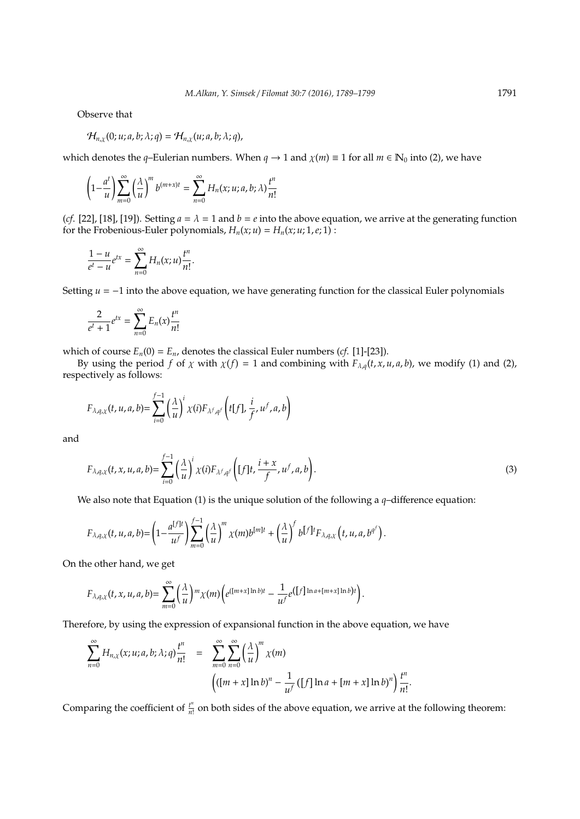Observe that

$$
\mathcal{H}_{n,\chi}(0; u; a, b; \lambda; q) = \mathcal{H}_{n,\chi}(u; a, b; \lambda; q),
$$

which denotes the *q*–Eulerian numbers. When  $q \to 1$  and  $\chi(m) \equiv 1$  for all  $m \in \mathbb{N}_0$  into (2), we have

$$
\left(1-\frac{a^t}{u}\right)\sum_{m=0}^{\infty}\left(\frac{\lambda}{u}\right)^m b^{(m+x)t}=\sum_{n=0}^{\infty}H_n(x;u;a,b;\lambda)\frac{t^n}{n!}
$$

(*cf*. [22], [18], [19]). Setting  $a = \lambda = 1$  and  $b = e$  into the above equation, we arrive at the generating function for the Frobenious-Euler polynomials,  $H_n(x; u) = H_n(x; u; 1, e; 1)$ :

$$
\frac{1-u}{e^t-u}e^{tx}=\sum_{n=0}^{\infty}H_n(x;u)\frac{t^n}{n!}.
$$

Setting  *into the above equation, we have generating function for the classical Euler polynomials* 

$$
\frac{2}{e^t + 1} e^{tx} = \sum_{n=0}^{\infty} E_n(x) \frac{t^n}{n!}
$$

which of course  $E_n(0) = E_n$ , denotes the classical Euler numbers (*cf*. [1]-[23]).

By using the period *f* of  $\chi$  with  $\chi(f) = 1$  and combining with  $F_{\lambda,q}(t, x, u, a, b)$ , we modify (1) and (2), respectively as follows:

$$
F_{\lambda,q,\chi}(t,u,a,b) = \sum_{i=0}^{f-1} \left(\frac{\lambda}{u}\right)^i \chi(i) F_{\lambda^f,q^f}\left(t[f],\frac{i}{f},u^f,a,b\right)
$$

and

$$
F_{\lambda,q,\chi}(t,x,u,a,b) = \sum_{i=0}^{f-1} \left(\frac{\lambda}{u}\right)^i \chi(i) F_{\lambda^f,q^f}\left([f]t, \frac{i+x}{f}, u^f,a,b\right).
$$
\n(3)

We also note that Equation (1) is the unique solution of the following a *q*–difference equation:

$$
F_{\lambda,q,\chi}(t,u,a,b) = \left(1-\frac{a^{[f]t}}{u^f}\right)\sum_{m=0}^{f-1}\left(\frac{\lambda}{u}\right)^m\chi(m)b^{[m]t}+\left(\frac{\lambda}{u}\right)^f b^{[f]t}F_{\lambda,q,\chi}\left(t,u,a,b^{q^f}\right).
$$

On the other hand, we get

$$
F_{\lambda,q,\chi}(t,x,u,a,b)=\sum_{m=0}^{\infty}\left(\frac{\lambda}{u}\right)^{m}\chi(m)\left(e^{([m+x]\ln b)t}-\frac{1}{u^{f}}e^{([f]\ln a+[m+x]\ln b)t}\right).
$$

Therefore, by using the expression of expansional function in the above equation, we have

$$
\sum_{n=0}^{\infty} H_{n,\chi}(x; u; a, b; \lambda; q) \frac{t^n}{n!} = \sum_{m=0}^{\infty} \sum_{n=0}^{\infty} \left(\frac{\lambda}{u}\right)^m \chi(m) \left(\left[\left(m + x\right] \ln b\right)^n - \frac{1}{u^f} \left(\left[f\right] \ln a + \left[m + x\right] \ln b\right)^n\right) \frac{t^n}{n!}.
$$

Comparing the coefficient of  $\frac{t^n}{n!}$  $\frac{r}{n!}$  on both sides of the above equation, we arrive at the following theorem: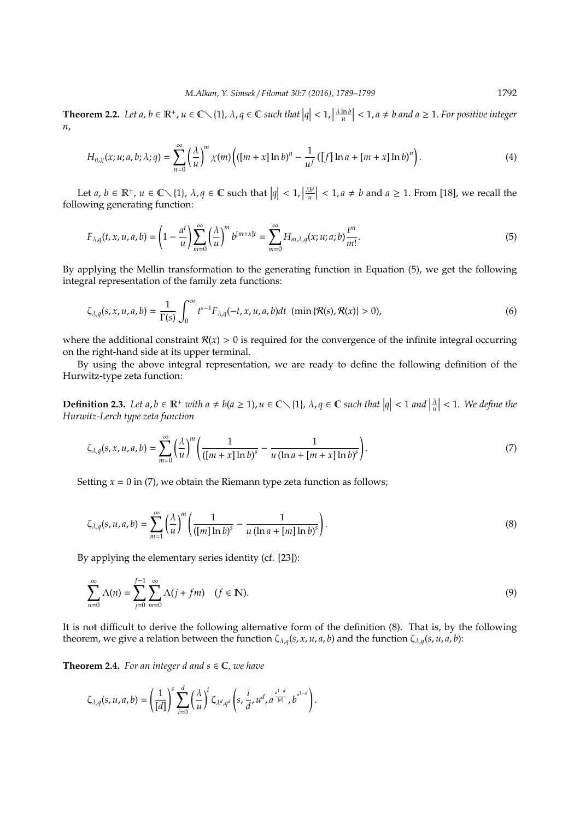**Theorem 2.2.** Let  $a, b \in \mathbb{R}^+$ ,  $u \in \mathbb{C} \setminus \{1\}$ ,  $\lambda, q \in \mathbb{C}$  such that  $|q| < 1$ ,  $\left|\frac{\lambda \ln b}{u}\right| < 1$ ,  $a \neq b$  and  $a \geq 1$ . For positive integer *n*,

$$
H_{n,\chi}(x;u;a,b;\lambda;q) = \sum_{n=0}^{\infty} \left(\frac{\lambda}{u}\right)^m \chi(m) \left( ([m+x] \ln b)^n - \frac{1}{u^f} ([f] \ln a + [m+x] \ln b)^n \right).
$$
 (4)

Let  $a, b \in \mathbb{R}^+, u \in \mathbb{C} \setminus \{1\}, \lambda, q \in \mathbb{C}$  such that  $|q| < 1, |\frac{\lambda b^i}{u}|$  $\left| \frac{b^i}{u} \right|$  < 1, *a*  $\neq$  *b* and *a*  $\geq$  1. From [18], we recall the following generating function:

$$
F_{\lambda,q}(t,x,u,a,b) = \left(1 - \frac{a^t}{u}\right) \sum_{m=0}^{\infty} \left(\frac{\lambda}{u}\right)^m b^{[m+x]t} = \sum_{m=0}^{\infty} H_{m,\lambda,q}(x;u;a;b) \frac{t^m}{m!}.
$$
 (5)

By applying the Mellin transformation to the generating function in Equation (5), we get the following integral representation of the family zeta functions:

$$
\zeta_{\lambda,q}(s,x,u,a,b) = \frac{1}{\Gamma(s)} \int_0^{\infty} t^{s-1} F_{\lambda,q}(-t,x,u,a,b) dt \; (\min\{\mathcal{R}(s),\mathcal{R}(x)\} > 0), \tag{6}
$$

where the additional constraint  $\mathcal{R}(x) > 0$  is required for the convergence of the infinite integral occurring on the right-hand side at its upper terminal.

By using the above integral representation, we are ready to define the following definition of the Hurwitz-type zeta function:

**Definition 2.3.** Let  $a, b \in \mathbb{R}^+$  with  $a \neq b(a \geq 1)$ ,  $u \in \mathbb{C} \setminus \{1\}$ ,  $\lambda, q \in \mathbb{C}$  such that  $|q| < 1$  and  $|\frac{\lambda}{u}| < 1$ . We define the *Hurwitz-Lerch type zeta function*

$$
\zeta_{\lambda,q}(s,x,u,a,b) = \sum_{m=0}^{\infty} \left(\frac{\lambda}{u}\right)^m \left(\frac{1}{([m+x]\ln b)^s} - \frac{1}{u(\ln a + [m+x]\ln b)^s}\right).
$$
\n(7)

Setting  $x = 0$  in (7), we obtain the Riemann type zeta function as follows;

$$
\zeta_{\lambda,q}(s,u,a,b) = \sum_{m=1}^{\infty} \left(\frac{\lambda}{u}\right)^m \left(\frac{1}{([m]\ln b)^s} - \frac{1}{u(\ln a + [m]\ln b)^s}\right).
$$
\n(8)

By applying the elementary series identity (cf. [23]):

$$
\sum_{n=0}^{\infty} \Lambda(n) = \sum_{j=0}^{f-1} \sum_{m=0}^{\infty} \Lambda(j + fm) \quad (f \in \mathbb{N}).
$$
\n(9)

It is not difficult to derive the following alternative form of the definition (8). That is, by the following theorem, we give a relation between the function  $\zeta_{\lambda,q}(s,x,u,a,b)$  and the function  $\zeta_{\lambda,q}(s,u,a,b)$ :

**Theorem 2.4.** *For an integer d and*  $s \in \mathbb{C}$ *, we have* 

$$
\zeta_{\lambda,q}(s,u,a,b)=\left(\frac{1}{[d]}\right)^s\sum_{i=0}^d\left(\frac{\lambda}{u}\right)^i\zeta_{\lambda^d,q^d}\left(s,\frac{i}{d},u^d,a^{\frac{u^{1-d}}{[d]}} ,b^{u^{1-d}}\right).
$$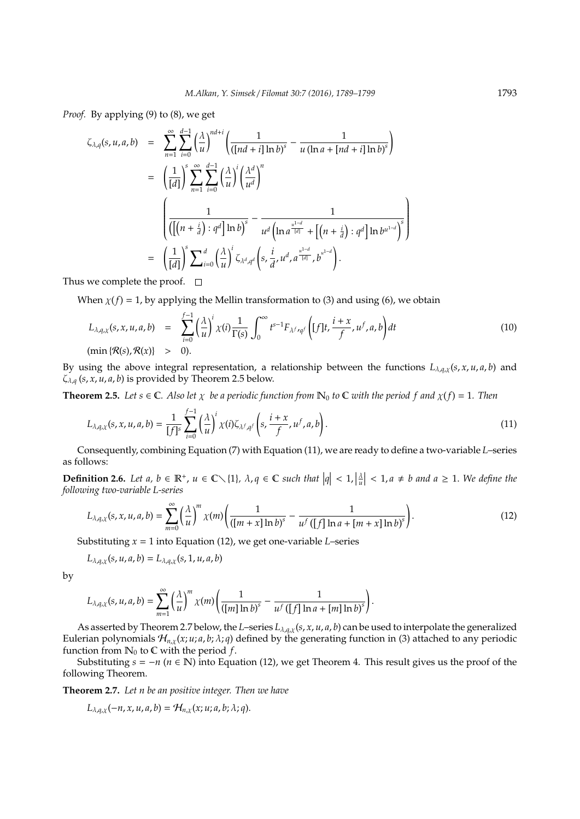*Proof.* By applying (9) to (8), we get

$$
\zeta_{\lambda,q}(s,u,a,b) = \sum_{n=1}^{\infty} \sum_{i=0}^{d-1} \left(\frac{\lambda}{u}\right)^{nd+i} \left(\frac{1}{(\lceil nd+i\rceil \ln b)^s} - \frac{1}{u(\ln a + \lceil nd + i\rceil \ln b)^s}\right)
$$
  

$$
= \left(\frac{1}{\lceil d\rceil}\right)^s \sum_{n=1}^{\infty} \sum_{i=0}^{d-1} \left(\frac{\lambda}{u}\right)^i \left(\frac{\lambda^d}{u^d}\right)^n
$$
  

$$
\left(\frac{1}{(\lceil (n+\frac{i}{d}) : q^d \rceil \ln b)^s} - \frac{1}{u^d \left(\ln a^{\frac{u^{1-d}}{\lceil d\rceil}} + \lceil (n+\frac{i}{d}) : q^d \rceil \ln b^{u^{1-d}}\right)^s}\right)
$$
  

$$
= \left(\frac{1}{\lceil d\rceil}\right)^s \sum_{i=0}^d \left(\frac{\lambda}{u}\right)^i \zeta_{\lambda^d,q^d}\left(s, \frac{i}{d}, u^d, a^{\frac{u^{1-d}}{\lceil d\rceil}}, b^{u^{1-d}}\right).
$$

Thus we complete the proof.  $\square$ 

When  $\chi(f) = 1$ , by applying the Mellin transformation to (3) and using (6), we obtain

$$
L_{\lambda,q,\chi}(s,x,u,a,b) = \sum_{i=0}^{f-1} \left(\frac{\lambda}{u}\right)^i \chi(i) \frac{1}{\Gamma(s)} \int_0^\infty t^{s-1} F_{\lambda^f,q^f} \left( [f]t, \frac{i+x}{f}, u^f, a, b \right) dt
$$
  
(min  $\{\mathcal{R}(s), \mathcal{R}(x)\} > 0$ ). (10)

By using the above integral representation, a relationship between the functions  $L_{\lambda,q,\chi}(s,x,u,a,b)$  and ζλ,*<sup>q</sup>* (*s*, *x*, *u*, *a*, *b*) is provided by Theorem 2.5 below.

**Theorem 2.5.** *Let*  $s \in \mathbb{C}$ *. Also let*  $\chi$  *be a periodic function from*  $\mathbb{N}_0$  *to*  $\mathbb{C}$  *with the period f and*  $\chi(f) = 1$ *. Then* 

$$
L_{\lambda,q,\chi}(s,x,u,a,b) = \frac{1}{[f]^s} \sum_{i=0}^{f-1} \left(\frac{\lambda}{u}\right)^i \chi(i) \zeta_{\lambda^f,q^f}\left(s,\frac{i+x}{f},u^f,a,b\right). \tag{11}
$$

Consequently, combining Equation (7) with Equation (11), we are ready to define a two-variable *L*–series as follows:

**Definition 2.6.** Let  $a, b \in \mathbb{R}^+$ ,  $u \in \mathbb{C} \setminus \{1\}$ ,  $\lambda, q \in \mathbb{C}$  such that  $|q| < 1$ ,  $|\frac{\lambda}{u}| < 1$ ,  $a \neq b$  and  $a \geq 1$ . We define the *following two-variable L-series*

$$
L_{\lambda,q,\chi}(s,x,u,a,b) = \sum_{m=0}^{\infty} \left(\frac{\lambda}{u}\right)^m \chi(m) \left(\frac{1}{(\left[m+x\right]\ln b)^s} - \frac{1}{u^f\left(\left[f\right]\ln a + \left[m+x\right]\ln b\right)^s}\right).
$$
\n(12)

Substituting *x* = 1 into Equation (12), we get one-variable *L*–series

$$
L_{\lambda,q,\chi}(s,u,a,b)=L_{\lambda,q,\chi}(s,1,u,a,b)
$$

by

$$
L_{\lambda,q,\chi}(s,u,a,b)=\sum_{m=1}^{\infty}\left(\frac{\lambda}{u}\right)^{m}\chi(m)\left(\frac{1}{(\lfloor m\rfloor \ln b)^{s}}-\frac{1}{u^{f}\left(\lfloor f\rfloor \ln a+[m]\ln b\right)^{s}}\right).
$$

As asserted by Theorem 2.7 below, the *L*–series *L*λ,*q*,χ(*s*, *x*, *u*, *a*, *b*) can be used to interpolate the generalized Eulerian polynomials  $H_{n,x}(x; u; a, b; \lambda; q)$  defined by the generating function in (3) attached to any periodic function from  $\mathbb{N}_0$  to  $\mathbb C$  with the period *f*.

Substituting  $s = -n$  ( $n \in \mathbb{N}$ ) into Equation (12), we get Theorem 4. This result gives us the proof of the following Theorem.

**Theorem 2.7.** *Let n be an positive integer. Then we have*

$$
L_{\lambda,q,\chi}(-n,x,u,a,b)=\mathcal{H}_{n,\chi}(x;u;a,b;\lambda;q).
$$

 $\lambda$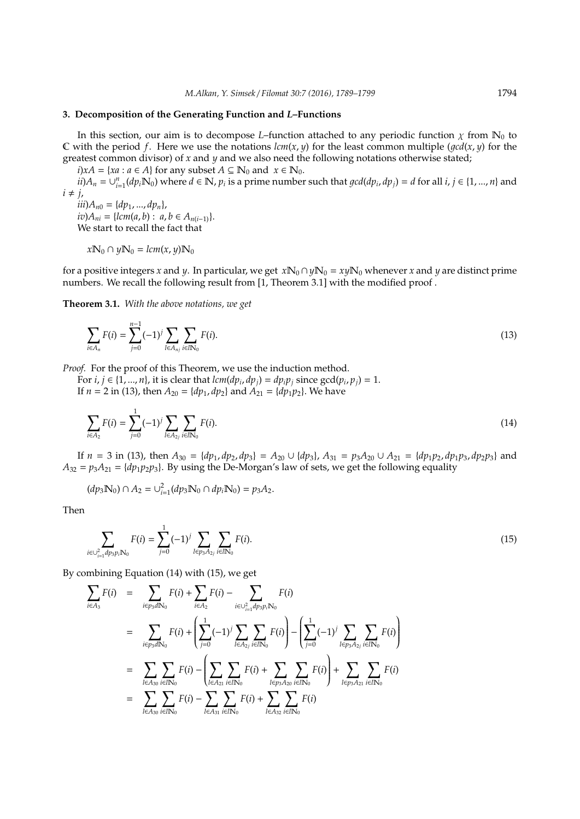### **3. Decomposition of the Generating Function and** *L***–Functions**

In this section, our aim is to decompose *L*–function attached to any periodic function  $\chi$  from  $\mathbb{N}_0$  to C with the period f. Here we use the notations  $lcm(x, y)$  for the least common multiple  $(qcd(x, y)$  for the greatest common divisor) of *x* and *y* and we also need the following notations otherwise stated;

 $i)xA = \{xa : a \in A\}$  for any subset  $A \subseteq \mathbb{N}_0$  and  $x \in \mathbb{N}_0$ .

 $ii)$  $A_n = \bigcup_{i=1}^n (dp_i N_0)$  where  $d \in \mathbb{N}$ ,  $p_i$  is a prime number such that  $gcd(dp_i, dp_j) = d$  for all  $i, j \in \{1, ..., n\}$  and  $i \neq j$ ,

 $iii)$ *A*<sup>*n*0</sup> = { $dp_1$ , ...,  $dp_n$ }, *iv*)*A*<sup>*ni*</sup> = { $lcm(a, b)$  :  $a, b \in A$ <sup>*n*(*i*−1)}.</sup> We start to recall the fact that

$$
x\mathbb{N}_0\cap y\mathbb{N}_0=lcm(x,y)\mathbb{N}_0
$$

for a positive integers *x* and *y*. In particular, we get  $x\mathbb{N}_0 \cap y\mathbb{N}_0 = xy\mathbb{N}_0$  whenever *x* and *y* are distinct prime numbers. We recall the following result from [1, Theorem 3.1] with the modified proof .

**Theorem 3.1.** *With the above notations, we get*

$$
\sum_{i \in A_n} F(i) = \sum_{j=0}^{n-1} (-1)^j \sum_{l \in A_{nj}} \sum_{i \in l \mathbb{N}_0} F(i).
$$
\n(13)

*Proof.* For the proof of this Theorem, we use the induction method.

For *i*,  $j \in \{1, ..., n\}$ , it is clear that  $lcm(dp_i, dp_j) = dp_i p_j$  since  $gcd(p_i, p_j) = 1$ . If *n* = 2 in (13), then  $A_{20} = {dp_1, dp_2}$  and  $A_{21} = {dp_1p_2}$ . We have

$$
\sum_{i \in A_2} F(i) = \sum_{j=0}^1 (-1)^j \sum_{l \in A_{2j}} \sum_{i \in l \mathbb{N}_0} F(i).
$$
\n(14)

If  $n = 3$  in (13), then  $A_{30} = \{dp_1, dp_2, dp_3\} = A_{20} \cup \{dp_3\}, A_{31} = p_3A_{20} \cup A_{21} = \{dp_1p_2, dp_1p_3, dp_2p_3\}$  and  $A_{32} = p_3 A_{21} = \{dp_1p_2p_3\}$ . By using the De-Morgan's law of sets, we get the following equality

$$
(dp_3\mathbb{N}_0)\cap A_2=\cup_{i=1}^2(dp_3\mathbb{N}_0\cap dp_i\mathbb{N}_0)=p_3A_2.
$$

Then

$$
\sum_{i \in \cup_{i=1}^2 dp_3 p_i \mathbb{N}_0} F(i) = \sum_{j=0}^1 (-1)^j \sum_{l \in p_3 A_{2j}} \sum_{i \in l \mathbb{N}_0} F(i).
$$
 (15)

By combining Equation (14) with (15), we get

$$
\sum_{i \in A_3} F(i) = \sum_{i \in p_3 dN_0} F(i) + \sum_{i \in A_2} F(i) - \sum_{i \in \bigcup_{i=1}^2 dp_3 p_i N_0} F(i)
$$
\n
$$
= \sum_{i \in p_3 dN_0} F(i) + \left( \sum_{j=0}^1 (-1)^j \sum_{l \in A_{2j}} \sum_{i \in lN_0} F(i) \right) - \left( \sum_{j=0}^1 (-1)^j \sum_{l \in p_3 A_{2j}} \sum_{i \in lN_0} F(i) \right)
$$
\n
$$
= \sum_{l \in A_{30}} \sum_{i \in lN_0} F(i) - \left( \sum_{l \in A_{21}} \sum_{i \in lN_0} F(i) + \sum_{l \in p_3 A_{20}} \sum_{i \in lN_0} F(i) \right) + \sum_{l \in p_3 A_{21}} \sum_{i \in lN_0} F(i)
$$
\n
$$
= \sum_{l \in A_{30}} \sum_{i \in lN_0} F(i) - \sum_{l \in A_{31}} \sum_{i \in lN_0} F(i) + \sum_{l \in A_{32}} \sum_{i \in lN_0} F(i)
$$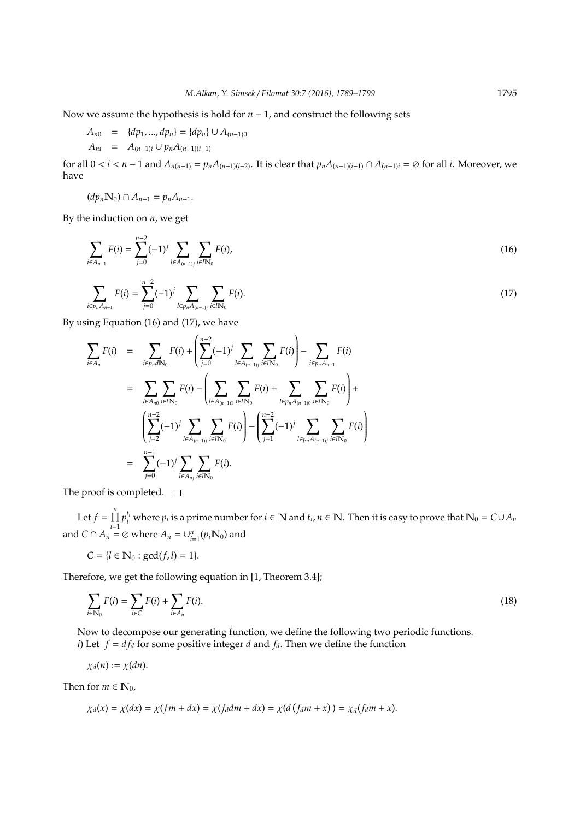Now we assume the hypothesis is hold for *n* − 1, and construct the following sets

$$
A_{n0} = {dp_1, ..., dp_n} = {dp_n} \cup A_{(n-1)0}
$$
  

$$
A_{ni} = A_{(n-1)i} \cup p_n A_{(n-1)(i-1)}
$$

for all  $0 < i < n-1$  and  $A_{n(n-1)} = p_n A_{(n-1)(i-2)}$ . It is clear that  $p_n A_{(n-1)(i-1)} \cap A_{(n-1)i} = \emptyset$  for all *i*. Moreover, we have

$$
(dp_n \mathbb{N}_0) \cap A_{n-1} = p_n A_{n-1}.
$$

By the induction on *n*, we get

$$
\sum_{i \in A_{n-1}} F(i) = \sum_{j=0}^{n-2} (-1)^j \sum_{l \in A_{(n-1)j}} \sum_{i \in l \mathbb{N}_0} F(i),
$$
\n
$$
\sum_{i \in p_n A_{n-1}} F(i) = \sum_{j=0}^{n-2} (-1)^j \sum_{l \in p_n A_{(n-1)j}} \sum_{i \in l \mathbb{N}_0} F(i).
$$
\n(17)

By using Equation (16) and (17), we have

$$
\sum_{i \in A_n} F(i) = \sum_{i \in p_n dN_0} F(i) + \left( \sum_{j=0}^{n-2} (-1)^j \sum_{l \in A_{(n-1)j}} \sum_{i \in lN_0} F(i) \right) - \sum_{i \in p_n A_{n-1}} F(i)
$$
\n
$$
= \sum_{l \in A_{n0}} \sum_{i \in lN_0} F(i) - \left( \sum_{l \in A_{(n-1)1}} \sum_{i \in lN_0} F(i) + \sum_{l \in p_n A_{(n-1)0}} \sum_{i \in lN_0} F(i) \right) + \left( \sum_{j=2}^{n-2} (-1)^j \sum_{l \in A_{(n-1)j}} \sum_{i \in lN_0} F(i) \right) - \left( \sum_{j=1}^{n-2} (-1)^j \sum_{l \in p_n A_{(n-1)j}} \sum_{i \in lN_0} F(i) \right)
$$
\n
$$
= \sum_{j=0}^{n-1} (-1)^j \sum_{l \in A_{nj}} \sum_{i \in lN_0} F(i).
$$

The proof is completed.  $\square$ 

Let  $f = \prod^n$  $\prod_{i=1}^{n} p_i^{t_i}$  where  $p_i$  is a prime number for  $i \in \mathbb{N}$  and  $t_i, n \in \mathbb{N}$ . Then it is easy to prove that  $\mathbb{N}_0 = C \cup A_n$ and  $C \cap A_n = \emptyset$  where  $A_n = \bigcup_{i=1}^n (p_i \mathbb{N}_0)$  and

$$
C = \{l \in \mathbb{N}_0 : \gcd(f, l) = 1\}.
$$

Therefore, we get the following equation in [1, Theorem 3.4];

$$
\sum_{i \in \mathbb{N}_0} F(i) = \sum_{i \in \mathbb{C}} F(i) + \sum_{i \in A_n} F(i).
$$
 (18)

Now to decompose our generating function, we define the following two periodic functions. *i*) Let  $f = df_d$  for some positive integer *d* and  $f_d$ . Then we define the function

$$
\chi_d(n):=\chi(dn).
$$

Then for  $m \in \mathbb{N}_0$ ,

$$
\chi_d(x) = \chi(dx) = \chi(fm + dx) = \chi(f_d dm + dx) = \chi(d(f_d m + x)) = \chi_d(f_d m + x).
$$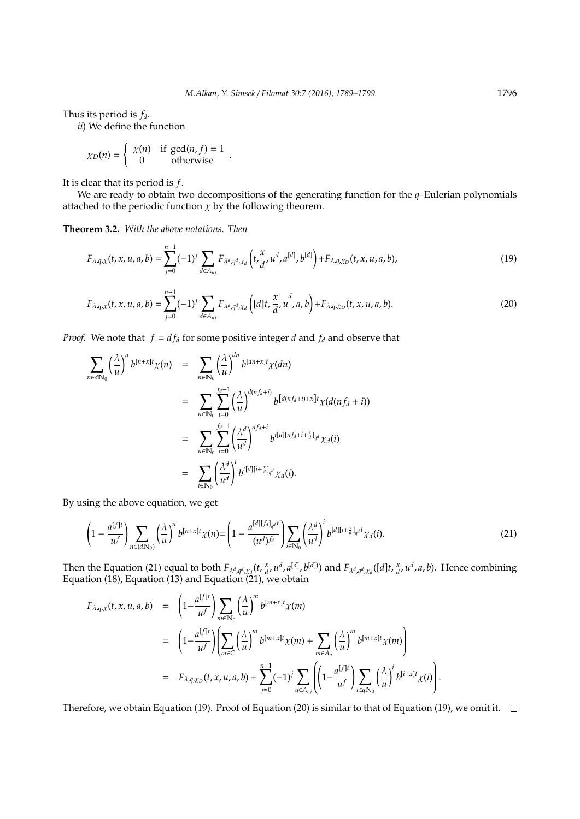Thus its period is *fd*.

*ii*) We define the function

$$
\chi_D(n) = \begin{cases} \chi(n) & \text{if } \gcd(n, f) = 1 \\ 0 & \text{otherwise} \end{cases}.
$$

It is clear that its period is *f*.

We are ready to obtain two decompositions of the generating function for the *q*–Eulerian polynomials attached to the periodic function  $\chi$  by the following theorem.

**Theorem 3.2.** *With the above notations. Then*

$$
F_{\lambda,q,\chi}(t,x,u,a,b) = \sum_{j=0}^{n-1} (-1)^j \sum_{d \in A_{nj}} F_{\lambda^d,q^d,\chi_d} \left( t, \frac{x}{d}, u^d, a^{[d]}, b^{[d]} \right) + F_{\lambda,q,\chi_D}(t,x,u,a,b), \tag{19}
$$

$$
F_{\lambda,q,\chi}(t,x,u,a,b) = \sum_{j=0}^{n-1} (-1)^j \sum_{d \in A_{nj}} F_{\lambda^d,q^d,\chi_d} \left( [d]t, \frac{x}{d}, u^d, a, b \right) + F_{\lambda,q,\chi_D}(t,x,u,a,b). \tag{20}
$$

*Proof.* We note that  $f = df_d$  for some positive integer *d* and  $f_d$  and observe that

$$
\sum_{n \in d\mathbb{N}_0} \left(\frac{\lambda}{u}\right)^n b^{[n+x]t} \chi(n) = \sum_{n \in \mathbb{N}_0} \left(\frac{\lambda}{u}\right)^{dn} b^{[dn+x]t} \chi(dn)
$$
  

$$
= \sum_{n \in \mathbb{N}_0} \sum_{i=0}^{f_d-1} \left(\frac{\lambda}{u}\right)^{d(nf_d+i)} b^{[d(nf_d+i)+x]t} \chi(d(nf_d+i))
$$
  

$$
= \sum_{n \in \mathbb{N}_0} \sum_{i=0}^{f_d-1} \left(\frac{\lambda^d}{u^d}\right)^{n f_d+i} b^{t[d][n f_d+i+\frac{x}{d}]_{q^d}} \chi_d(i)
$$
  

$$
= \sum_{i \in \mathbb{N}_0} \left(\frac{\lambda^d}{u^d}\right)^i b^{t[d][i+\frac{x}{d}]_{q^d}} \chi_d(i).
$$

By using the above equation, we get

$$
\left(1-\frac{a^{[f]t}}{u^f}\right)\sum_{n\in(d\mathbb{N}_0)}\left(\frac{\lambda}{u}\right)^n b^{[n+x]t}\chi(n) = \left(1-\frac{a^{[d][f_d]_{q^d}t}}{(u^d)^{f_d}}\right)\sum_{i\in\mathbb{N}_0}\left(\frac{\lambda^d}{u^d}\right)^i b^{[d][i+\frac{x}{d}]_{q^d}t}\chi_d(i).
$$
\n(21)

Then the Equation (21) equal to both  $F_{\lambda^d,q^d,\chi_d}(t,\frac{x}{d},u^d,a^{[d]},b^{[d]})$  and  $F_{\lambda^d,q^d,\chi_d}([d]t,\frac{x}{d},u^d,a,b)$ . Hence combining Equation (18), Equation (13) and Equation (21), we obtain

$$
F_{\lambda,q,\chi}(t,x,u,a,b) = \left(1 - \frac{a^{\lfloor f \rfloor t}}{u^f}\right) \sum_{m \in \mathbb{N}_0} \left(\frac{\lambda}{u}\right)^m b^{\lfloor m+x \rfloor t} \chi(m)
$$
  
\n
$$
= \left(1 - \frac{a^{\lfloor f \rfloor t}}{u^f}\right) \left(\sum_{m \in \mathbb{C}} \left(\frac{\lambda}{u}\right)^m b^{\lfloor m+x \rfloor t} \chi(m) + \sum_{m \in A_n} \left(\frac{\lambda}{u}\right)^m b^{\lfloor m+x \rfloor t} \chi(m)\right)
$$
  
\n
$$
= F_{\lambda,q,\chi_D}(t,x,u,a,b) + \sum_{j=0}^{n-1} (-1)^j \sum_{q \in A_{nj}} \left(\left(1 - \frac{a^{\lfloor f \rfloor t}}{u^f}\right) \sum_{i \in q \mathbb{N}_0} \left(\frac{\lambda}{u}\right)^i b^{\lfloor i+x \rfloor t} \chi(i)\right).
$$

Therefore, we obtain Equation (19). Proof of Equation (20) is similar to that of Equation (19), we omit it.  $\square$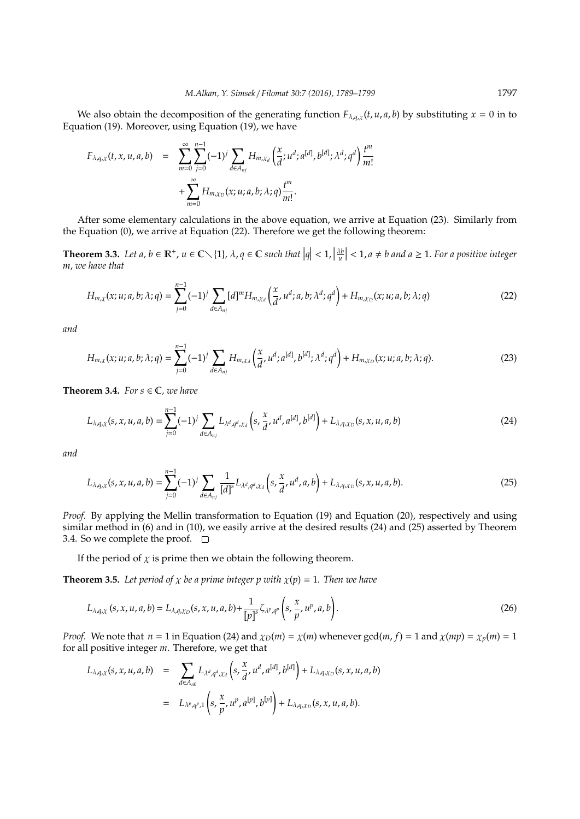We also obtain the decomposition of the generating function  $F_{\lambda,q,\chi}(t,u,a,b)$  by substituting  $x = 0$  in to Equation (19). Moreover, using Equation (19), we have

$$
F_{\lambda,q,\chi}(t,x,u,a,b) = \sum_{m=0}^{\infty} \sum_{j=0}^{n-1} (-1)^j \sum_{d \in A_{nj}} H_{m,\chi_d} \left( \frac{x}{d}; u^d; a^{[d]}, b^{[d]}; \lambda^d; q^d \right) \frac{t^m}{m!} + \sum_{m=0}^{\infty} H_{m,\chi_D}(x; u; a, b; \lambda; q) \frac{t^m}{m!}.
$$

After some elementary calculations in the above equation, we arrive at Equation (23). Similarly from the Equation (0), we arrive at Equation (22). Therefore we get the following theorem:

**Theorem 3.3.** Let  $a, b \in \mathbb{R}^+, u \in \mathbb{C} \setminus \{1\}, \lambda, q \in \mathbb{C}$  such that  $|q| < 1, |\frac{\lambda b}{u}| < 1, a \neq b$  and  $a \geq 1$ . For a positive integer *m*, *we have that*

$$
H_{m,\chi}(x;u;a,b;\lambda;q) = \sum_{j=0}^{n-1} (-1)^j \sum_{d \in A_{nj}} [d]^m H_{m,\chi_d} \left( \frac{x}{d}, u^d; a, b; \lambda^d; q^d \right) + H_{m,\chi_D}(x;u;a,b;\lambda;q) \tag{22}
$$

*and*

$$
H_{m,\chi}(x;u;a,b;\lambda;q) = \sum_{j=0}^{n-1} (-1)^j \sum_{d \in A_{nj}} H_{m,\chi_d} \left( \frac{x}{d}, u^d; a^{[d]}, b^{[d]}; \lambda^d; q^d \right) + H_{m,\chi_D}(x;u;a,b;\lambda;q). \tag{23}
$$

**Theorem 3.4.** *For*  $s \in \mathbb{C}$ *, we have* 

$$
L_{\lambda,q,\chi}(s,x,u,a,b) = \sum_{j=0}^{n-1} (-1)^j \sum_{d \in A_{nj}} L_{\lambda^d,q^d,\chi_d} \left( s, \frac{x}{d}, u^d, a^{[d]}, b^{[d]} \right) + L_{\lambda,q,\chi_D}(s,x,u,a,b) \tag{24}
$$

*and*

$$
L_{\lambda,q,\chi}(s,x,u,a,b) = \sum_{j=0}^{n-1} (-1)^j \sum_{d \in A_{nj}} \frac{1}{[d]^s} L_{\lambda^d,q^d,\chi_d}\left(s, \frac{x}{d}, u^d, a, b\right) + L_{\lambda,q,\chi_D}(s,x,u,a,b). \tag{25}
$$

*Proof.* By applying the Mellin transformation to Equation (19) and Equation (20), respectively and using similar method in (6) and in (10), we easily arrive at the desired results (24) and (25) asserted by Theorem 3.4. So we complete the proof.  $\square$ 

If the period of  $\chi$  is prime then we obtain the following theorem.

**Theorem 3.5.** *Let period of*  $\chi$  *be a prime integer p with*  $\chi(p) = 1$ *. Then we have* 

$$
L_{\lambda,q,\chi}(s,x,u,a,b)=L_{\lambda,q,\chi_D}(s,x,u,a,b)+\frac{1}{[p]^s}\zeta_{\lambda^p,q^p}\left(s,\frac{x}{p},u^p,a,b\right).
$$
\n(26)

*Proof.* We note that  $n = 1$  in Equation (24) and  $\chi_D(m) = \chi(m)$  whenever gcd $(m, f) = 1$  and  $\chi(mp) = \chi_p(m) = 1$ for all positive integer *m*. Therefore, we get that

$$
L_{\lambda,q,\chi}(s,x,u,a,b) = \sum_{d \in A_{n0}} L_{\lambda^d,q^d,\chi_d}\left(s, \frac{x}{d}, u^d, a^{[d]}, b^{[d]}\right) + L_{\lambda,q,\chi_D}(s,x,u,a,b)
$$
  

$$
= L_{\lambda^p,q^p,1}\left(s, \frac{x}{p}, u^p, a^{[p]}, b^{[p]}\right) + L_{\lambda,q,\chi_D}(s,x,u,a,b).
$$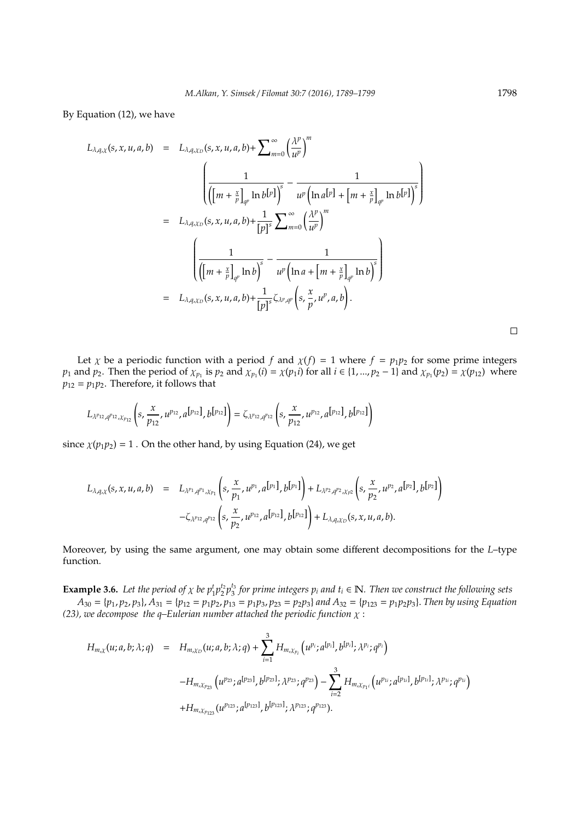By Equation (12), we have

$$
L_{\lambda,q,\chi}(s,x,u,a,b) = L_{\lambda,q,\chi_D}(s,x,u,a,b) + \sum_{m=0}^{\infty} \left(\frac{\lambda^p}{u^p}\right)^m
$$
  

$$
= L_{\lambda,q,\chi_D}(s,x,u,a,b) + \frac{1}{[p]^s} \sum_{m=0}^{\infty} \left(\frac{\lambda^p}{u^p}\right)^m
$$
  

$$
= L_{\lambda,q,\chi_D}(s,x,u,a,b) + \frac{1}{[p]^s} \sum_{m=0}^{\infty} \left(\frac{\lambda^p}{u^p}\right)^m
$$
  

$$
\left(\frac{1}{\left([m+\frac{x}{p}]_{q^p}\ln b\right)^s} - \frac{1}{u^p\left(\ln a + [m+\frac{x}{p}]_{q^p}\ln b\right)^s}\right)
$$
  

$$
= L_{\lambda,q,\chi_D}(s,x,u,a,b) + \frac{1}{[p]^s} \zeta_{\lambda^p,q^p}\left(s,\frac{x}{p},u^p,a,b\right).
$$

Let  $\chi$  be a periodic function with a period  $f$  and  $\chi(f) = 1$  where  $f = p_1p_2$  for some prime integers *p*<sub>1</sub> and *p*<sub>2</sub>. Then the period of  $\chi_{p_1}$  is *p*<sub>2</sub> and  $\chi_{p_1}(i) = \chi(p_1 i)$  for all  $i \in \{1, ..., p_2 - 1\}$  and  $\chi_{p_1}(p_2) = \chi(p_{12})$  where  $p_{12} = p_1 p_2$ . Therefore, it follows that

$$
L_{\lambda^{p_{12}},q^{p_{12}},\chi_{p_{12}}}\left(s,\frac{x}{p_{12}},u^{p_{12}},a^{[p_{12}]},b^{[p_{12}]}\right)=\zeta_{\lambda^{p_{12}},q^{p_{12}}}\left(s,\frac{x}{p_{12}},u^{p_{12}},a^{[p_{12}]},b^{[p_{12}]}\right)
$$

since  $\chi(p_1p_2) = 1$ . On the other hand, by using Equation (24), we get

$$
L_{\lambda,q,\chi}(s,x,u,a,b) = L_{\lambda^{p_1},q^{p_1},\chi_{p_1}}\left(s,\frac{x}{p_1},u^{p_1},a^{[p_1]},b^{[p_1]}\right) + L_{\lambda^{p_2},q^{p_2},\chi_{p_2}}\left(s,\frac{x}{p_2},u^{p_2},a^{[p_2]},b^{[p_2]}\right) - \zeta_{\lambda^{p_{12}},q^{p_{12}}}\left(s,\frac{x}{p_2},u^{p_{12}},a^{[p_{12}]},b^{[p_{12}]}\right) + L_{\lambda,q,\chi_{D}}(s,x,u,a,b).
$$

Moreover, by using the same argument, one may obtain some different decompositions for the *L*–type function.

**Example 3.6.** Let the period of  $\chi$  be  $p_1^t p_2^t p_3^{t_3}$  for prime integers  $p_i$  and  $t_i \in \mathbb{N}$ . Then we construct the following sets

 $A_{30} = \{p_1, p_2, p_3\}, A_{31} = \{p_{12} = p_1p_2, p_{13} = p_1p_3, p_{23} = p_2p_3\}$  and  $A_{32} = \{p_{123} = p_1p_2p_3\}.$  Then by using Equation *(23), we decompose the q–Eulerian number attached the periodic function*  $\chi$  :

$$
H_{m,\chi}(u;a,b;\lambda;q) = H_{m,\chi_D}(u;a,b;\lambda;q) + \sum_{i=1}^3 H_{m,\chi_{p_i}}(u^{p_i};a^{[p_i]},b^{[p_i]},\lambda^{p_i};q^{p_i})
$$
  
-
$$
H_{m,\chi_{p_{23}}}(u^{p_{23}};a^{[p_{23}]},b^{[p_{23}]};\lambda^{p_{23}};q^{p_{23}}) - \sum_{i=2}^3 H_{m,\chi_{p_1i}}(u^{p_{1i}};a^{[p_{1i}]},b^{[p_{1i}]};\lambda^{p_{1i}};q^{p_{1i}})
$$
  
+
$$
H_{m,\chi_{p_{123}}}(u^{p_{123}},a^{[p_{123}]},b^{[p_{123}]};\lambda^{p_{123}};q^{p_{123}}).
$$